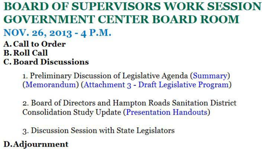**BOARD OF SUPERVISORS WORK SESSION GOVERNMENT CENTER BOARD ROOM NOV. 26, 2013 - 4 P .M. A. Call to Order B.Roll Call** 

**C. Board Discussions** 

1. Preliminary Discussion of Legislative Agenda (Summary) (Memorandum) (Attachment 3 - Draft Legislative Program)

2. Board of Directors and Hampton Roads Sanitation District Consolidation Study Update (Presentation Handouts)

3. Discussion Session with State Legislators **D.Adjournment**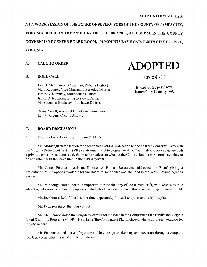AT A WORK SESSION OF THE BOARD OF SUPERVISORS OF THE COUNTY OF JAMES CITY, VIRGINIA, HELD ON THE 22ND DAY OF OCTOBER 2013, AT 4:00 P.M. IN THE COUNTY GOVERNMENT CENTER BOARD ROOM, 101 MOUNTS BAY ROAD, JAMES CITY COUNTY, VIRGINIA.

#### A. CALL TO ORDER

# **ADOPTED**

#### B. ROLL CALL

NOV 2 6 2013

Board of Supervisors James City County, VA

John J. McGlennon, Chairman, Roberts District Mary K. Jones, Vice Chairman, Berkeley District James G. Kennedy, Stonehouse District James 0. Icenhour, Jr., Jamestown District M. Anderson Bradshaw, Powhatan District

Doug Powell, Assistant County Administrator Leo P. Rogers, County Attorney

#### C. BOARD DISCUSSIONS

#### 1. Virginia Local Disability Program (VLDP)

Mr. Middaugh stated that on the agenda this evening is an action to decide if the County will stay with the Virginia Retirement System (VRS) State-run disability program or if the County should opt out and go with a private carrier. Also there is a decision to be made as to whether the County should restructure leave time to be consistent with the leave time in the hybrid system.

Mr. James Peterson, Assistant Director of Human Resources, addressed the Board givmg a presentation of the options available for the Board to act on that was included in the Work Session Agenda Packet.

Mr. Middaugh stated that it is important to note that any of the current staff, who wishes to take advantage of short-term disability options in the hybrid plan, may opt in to this plan beginning in January 2014.

Mr. Icenhour asked if this is a one-time opportunity for staff to opt in to this hybrid plan.

Mr. Peterson stated that was correct.

Mr. McGlennon noted that long-term care is not included in the Comparable Plans unlike the Virginia Local Disability Program (VLDP). He asked if the Comparable Plan is chosen what employees would do for long-term care.

Mr. Peterson stated that employees would have to opt to take long-term coverage through a company like Genworth, which is what employees do now.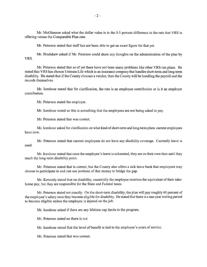Mr. McGlennon asked what the dollar value is in the 0.5 percent difference in the rate that YRS is offering versus the Comparable Plan rate.

Mr. Peterson stated that staff has not been able to get an exact figure for that yet.

Mr. Bradshaw asked if Mr. Peterson could share any thoughts on the administration of the plan by YRS.

Mr. Peterson stated that as of yet there have not been many problems like other VRS run plans. He stated that YRS has chosen Uninum Life which is an insurance company that handles short-term and long-term disability. He stated that if the County chooses a vendor, then the County will be handling the payroll and the records themselves.

Mr. Icenhour stated that for clarification, the rate is an employee contribution or is it an employer contribution.

Mr. Peterson stated the employer.

Mr. Icenhour stated so this is something that the employees are not being asked to pay.

Mr. Peterson stated that was correct.

Mr. Icenhour asked for clarification on what kind of short-term and long-term plans current employees have now.

Mr. Peterson stated that current employees do not have any disability coverage. Currently leave is used.

Mr. Icenhour stated that once the employee's leave is exhausted, they are on their own then until they reach the long-term disability point.

Mr. Peterson stated that is correct, but the County also offers a sick leave bank that employees may choose to participate in and can use portions of that money to bridge the gap.

Mr. Kennedy stated that on disability, essentially the employee receives the equivalent of their takehome pay, but they are responsible for the State and Federal taxes.

Mr. Peterson stated not exactly. On the short-term disability, the plan will pay roughly 60 percent of the employee's salary once they become eligible for disability. He stated that there is a one-year waiting period to become eligible unless the employee is injured on the job.

Mr. Icenhour asked if there are any lifetime cap limits to the program.

Mr. Peterson stated no there is not.

Mr. Icenhour stated that the level of benefit is tied to the employee's years of service.

Mr. Peterson stated that was correct.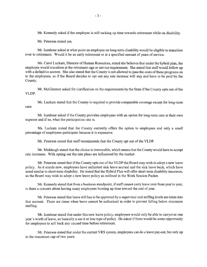Mr. Kennedy asked if the employee is still racking up time towards retirement while on disability.

Mr. Peterson stated yes.

Mr. Icenhour asked at what point an employee on long-term disability would be eligible to transition over to retirement. Would it be an early retirement or at a specified amount of years of service.

Ms. Carol Luckam, Director of Human Resources, stated she believes that under the hybrid plan, the employee would transition at the retirement age or service requirement. She stated that staff would follow up with a definitive answer. She also stated that the County is not allowed to pass the costs of these programs on to the employees, so if the Board decides to opt out any rate increase will stay and have to be paid by the County.

Mr. McGlennon asked for clarification on the requirements by the State if the County opts out of the VLDP.

Ms. Luckam stated that the County is required to provide comparable coverage except for long-term care.

Mr. Icenhour asked if the County provides employees with an option for long-term care at their own expense and if so, what the participation rate is.

Ms. Luckam stated that the County currently offers the option to employees and only a small percentage of employees participate because it is expensive.

Mr. Peterson stated that staff recommends that the County opt out of the VLDP.

Mr. Middaugh stated that the choice is irrevocable, which means that the County would have to accept rate increases. With opting out the rate plans are influenced by the market.

Mr. Peterson stated that if the County opts out of the VLDP the Board may wish to adopt a new leave policy. As it stands now, employees have unlimited sick leave accrual and the sick leave bank, which have acted similar to short-term disability. He stated that the Hybrid Plan will offer short-term disability insurance, so the Board may wish to adopt a new leave policy as outlined in the Work Session Packet.

Mr. Kennedy stated that from a business standpoint, if staff cannot carry leave over from year to year, is there a concern about having many employees burning up time toward the end of year.

Mr. Peterson stated that leave still has to be approved by a supervisor and staffmg levels are taken into that account. There are times when leave cannot be authorized in order to prevent falling below minimum staffing.

Mr. Icenhour stated that under this new leave policy, employees would only be able to carryover one year's worth ofleave, so basically a use it or lose type of policy. He asked if there would be some opportunity for employees to sell back any unused time before retirement.

Mr. Peterson stated that under the current YRS system, employees can do a leave pay-out, but only up to the maximum cap of two years.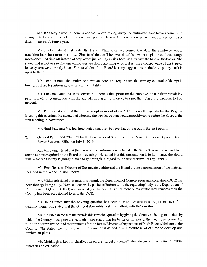Mr. Kennedy asked if there is concern about taking away the unlimited sick leave accrual and changing to the paid time off in this new leave policy. He asked if there is concern with employees losing six days of leave/sick time a year.

Ms. Luckam stated that under the Hybrid Plan, after five consecutive days the employee would transition into short-term disability. She stated that staff believes that this new leave plan would encourage more scheduled time off instead of employees just calling in sick because they have the time on the books. She stated that is not to say that our employees are doing anything wrong, it is just a consequence of the type of leave system we currently have. She stated that if the Board has any suggestions on the leave policy, staff is open to them.

Mr. Icenhour noted that under the new plan there is no requirement that employees use all of their paid time off before transitioning to short-term disability.

Ms. Luckam stated that was correct, but there is the option for the employee to use their remaining paid time off in conjunction with the short-tenn disability in order to raise their disability payment to 100 percent.

Mr. Peterson stated that the option to opt in or out of the VLDP is on the agenda for the Regular Meeting this evening. He stated that adopting the new leave plan would probably come before the Board at the first meeting in November.

Mr. Bradshaw and Mr. Icenhour stated that they believe that opting out is the best option.

#### 2. General Permit VAR040037 for the Discharges of Stormwater from Small Municipal Separate Storm Sewer Systems, Effective July 1, 2013

Mr. Middaugh stated that there was a lot of information included in the Work Session Packet and there are no actions required of the Board this evening. He stated that this presentation is to familiarize the Board with what the County is going to have to go through in regard to the new stormwater regulations.

Ms. Fran Geissler, Director of Storm water, addressed the Board giving a presentation of the material included in the Work Session Packet.

Mr. Middaugh stated that until this permit, the Department of Conservation and Recreation (DCR) has been the regulating body. Now, as seen in the packet of information, the regulating body is the Department of Environmental Quality (DEQ) and so what you are seeing is a lot more bureaucratic requirements than the County has been accustomed to with the DCR.

Ms. Jones stated that the ongoing question has been how to measure these requirements and to quantify them. She stated that the General Assembly is still wrestling with that question.

Ms. Geissler stated that the permit sidesteps that question by giving the County an inelegant method by which the County must generate its loads. She stated that for better or for worse, the County is required to fulfill the pennit by the load requirements for the James River and the portions of York River which are in the County. She stated that this is a new program for staff and it will require a lot of time to develop and implement plans.

Mr. Middaugh asked for clarification on the "target audience" when discussing the plans for public outreach and education.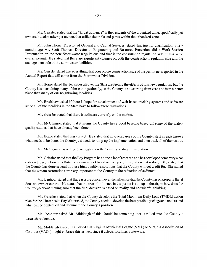Ms. Geissler stated that the "target audience" is the residents of the urbanized zone, specifically pet owners, but also other pet owners that utilize the trails and parks within the urbanized zone.

Mr. John Home, Director of General and Capital Services, stated that just for clarification, a few months ago Mr. Scott Thomas, Director of Engineering and Resource Protection, did a Work Session Presentation on the new Stormwater Regulations and that is the construction regulation side of this same overall permit. He stated that there are significant changes on both the construction regulation side and the management side of the storm water facilities.

Ms. Geissler stated that everything that goes on the construction side of the permit gets reported in the Annual Report that will come from the Stormwater Division.

Mr. Home stated that localities all over the State are feeling the effects of this new regulation, but the County has been doing many of these things already, so the County is not starting from zero and is in a better place than many of our neighboring localities.

Mr. Bradshaw asked if there is hope for development of web-based tracking systems and software since all of the localities in the State have to follow these regulations.

Ms. Geissler stated that there is software currently on the market.

Mr. McGlennon stated that it seems the County has a good baseline based off some of the waterquality studies that have already been done.

Mr. Horne stated that was correct. He stated that in several areas of the County, staff already knows what needs to be done; the County just needs to ramp up the implementation and then track all of the results.

Mr. McGlennon asked for clarification on the benefits of stream restoration.

Ms. Geissler stated that the Bay Program has done a lot of research and has developed some very clear data on the reduction of pollutants per linear foot based on the type of restoration that is done. She stated that the County has done several of these high quality restorations that the County will get credit for. She stated that the stream restorations are very important to the County in the reduction of sediment.

Mr. Icenhour stated that there is a big concern over the influence that the County has on property that it does not own or control. He stated that the area of influence in the permit is still up in the air, so how does the County go about making sure that the final decision is based on reality and not wishful thinking.

Ms. Geissler stated that when the County develops the Total Maximum Daily Load (TMDL) action plan for the Chesapeake Bay Watershed, the County needs to develop the best possible package and understand what can be controlled and document the County's position.

Mr. Icenhour asked Mr. Middaugh if this should be something that is rolled into the County's Legislative Agenda.

Mr. Middaugh agreed. He stated that Virginia Municipal League (VML) or Virginia Association of Counties (VACo) might embrace this as well since it affects localities State-wide.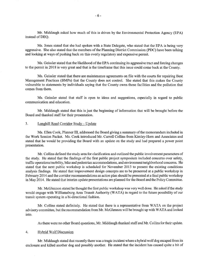Mr. Middaugh asked how much of this is driven by the Environmental Protection Agency (EPA) instead of DEQ.

Ms. Jones stated that she had spoken with a State Delegate, who stated that the EPA is being very aggressive. She also stated that the members of the Planning District Commission (PDC) have been talking and looking at ways of pushing back on this overly regulatory and expensive permit.

Ms. Geissler stated that the likelihood of the EPA continuing its aggressive tract and forcing changes to the permit in 2018 is very great and that is the timeframe that this issue could come back at the County.

Ms. Geissler stated that there are maintenance agreements on file with the courts for repairing Best Management Practices (BMPs) that the County does not control. She stated that this makes the County vulnerable to statements by individuals saying that the County owns those facilities and the pollution that comes from them.

Ms. Geissler stated that staff is open to ideas and suggestions, especially in regard to public communication and education.

Mr. Middaugh stated that this is just the beginning of information that will be brought before the Board and thanked staff for their presentation.

#### 3. Longhill Road Corridor Study- Update

Ms. Ellen Cook, Planner III, addressed the Board giving a summary of the memorandum included in the Work Session Packet. Ms. Cook introduced Mr. Carroll Collins from Kimley-Hom and Associates and stated that he would be providing the Board with an update on the study and had prepared a power point presentation.

Mr. Collins defined the study area for clarification and outlined the public involvement parameters of the study. He stated that the findings of the first public project symposium included concerns over safety, traffic operations/mobility, bike and pedestrian accommodations, and environment/neighborhood concerns. He stated that the next public workshop is scheduled for November 2013 to present the existing conditions analysis findings. He stated that improvement design concepts are to be presented at a public workshop in February 2014 and the corridor recommendations an action plan should be presented at a final public workshop in May 2014. He stated that interim update presentations are planned for the Board and the Policy Committee.

Mr. McGlennon stated he thought the first public workshop was very well done. He asked if the study would engage with Williamsburg Area Transit Authority (WATA) in regard to the future possibility of our transit system operating in a bi-directional fashion.

Mr. Collins stated definitely. He stated that there is a representative from WATA on the project advisory committee, but the recommendation from Mr. McGlennon will be brought up with W ATA and looked into.

As there were no other Board questions, Mr. Middaugh thanked staff and Mr. Collins for their update.

#### 4. Hybrid Wolf Discussion

Mr. Middaugh stated that recently there was a tragic incident where a hybrid wolf dog escaped from its enclosure and killed another dog and possibly another. He stated that the incident has caused quite a bit of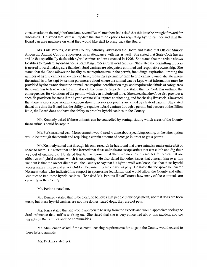consternation in the neighborhood and several Board members had asked that this issue be brought forward for discussion. He stated that staff will update the Board on options for regulating hybrid canines and then the Board can give guidance on what they would like staff to bring back the Board.

Ms. Lola Perkins, Assistant County Attorney, addressed the Board and stated that Officer Shirley Anderson, Animal Control Supervisor, is in attendance with her as well. She stated that State Code has an article that specifically deals with hybrid canines and was enacted in 1996. She stated that the article allows localities to regulate, by ordinance, a permitting process for hybrid canines. She stated the permitting process is geared toward making sure that the hybrid canines are adequately confined and responsible ownership. She stated that the Code allows the locality to set requirements in the permit, including: expiration, limiting the number of hybrid canines an owner can have, requiring a permit for each hybrid canine owned, dictate where the animal is to be kept by setting parameters about where the animal can be kept, what information must be provided by the owner about the animal, can require identification tags, and require what kinds of safeguards the owner has to take when the animal is off the owner's property. She stated that the Code has outlined the consequences for violations of the permit, which can include jail time. She stated that the Code also provides a specific provision for steps if the hybrid canine kills, injures another dog, and for chasing livestock. She stated that there is also a provision for compensation if livestock or poultry are killed by a hybrid canine. She stated that at this time the Board has the ability to regulate hybrid canines through a permit, but because of the Dillon Rule, the Board does not have the ability to prohibit hybrid canines in the County.

Mr. Kennedy asked if these animals can be controlled by zoning, stating which areas of the County these animals could be kept in.

Ms. Perkins stated yes. More research would need to done about specifying zoning, or the other option would be through the permit and requiring a certain amount of acreage in order to get a permit.

Mr. Kennedy stated that through his own research he has found that these animals require quite a bit of space to roam. He stated that he has learned that these animals are escape artists that can climb and dig their way out of enclosures. He stated that he has learned that there are no current vaccines for rabies that are effective on hybrid canines which is concerning. He also stated that other issues that concern him over this incident is that the owner did not call the County to say that his hybrid wolf was loose, also that these hybrid wolves stalk children and attack children because they are viewed as prey. He stated that he spoke to Senator Norment today who indicated his support in sponsoring legislation that would allow the County and other localities to ban these hybrid canines. He asked Ms. Perkins if staff knows how many of these animals are currently in the County.

Ms. Perkins stated no.

Mr. Kennedy stated that to be clear, he believes that people make dogs mean, not that dogs are born mean, but these hybrid canines are not like domesticated dogs, they are not pets.

Ms. Jones stated that she would appreciate hearing from the experts and would appreciate seeing the draft ordinance that staff is working on. She stated that she is very concerned about this incident and the impacts on the families and the communities.

Mr. McGlennon asked if the current licensing requirements for dogs in the County would extend to these hybrid animals.

Ms. Perkins stated yes.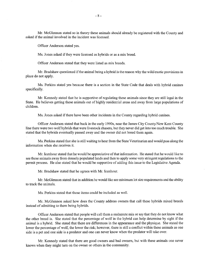Mr. McGlennon stated so in theory these animals should already be registered with the County and asked if the animal involved in the incident was licensed.

Officer Anderson stated yes.

Ms. Jones asked if they were licensed as hybrids or as a mix breed.

Officer Anderson stated that they were listed as mix breeds.

Mr. Bradshaw questioned if the animal being a hybrid is the reason why the wild/exotic provisions in place do not apply.

Ms. Perkins stated yes because there is a section in the State Code that deals with hybrid canines specifically.

Mr. Kennedy stated that he is supportive of regulating these animals since they are still legal in the State. He believes getting these animals out of highly residential areas and away from large populations of children.

Ms. Jones asked if there have been other incidents in the County regarding hybrid canines.

Officer Anderson stated that back in the early 1990s, near the James City County/New Kent County line there were two wolf hybrids that were livestock chasers, but they never did get into too much trouble. She stated that the hybrids eventually passed away and the owner did not breed them again.

Ms. Perkins stated that she is still waiting to hear from the State Veterinarian and would pass along the information when she receives it.

Mr. Icenhour stated that he would be appreciative of that information. He stated that he would like to see these animals away from densely populated lands and then to apply some very stringent regulations to the permit process. He also stated that he would be supportive of adding this issue to the Legislative Agenda.

Mr. Bradshaw stated that he agrees with Mr. Icenhour.

Mr. McGlennon stated that in addition he would like see minimum lot size requirements and the ability to track the animals.

Ms. Perkins stated that those items could be included as well.

Mr. McGlennon asked how does the County address owners that call these hybrids mixed breeds instead of admitting to them being hybrids.

Officer Anderson stated that people will call them a malamute mix or say that they do not know what the other breed is. She stated that the percentage of wolf in the hybrid can help determine by sight if the animal is a hybrid. She stated that there are differences in the appearance and the physique. She stated the lower the percentage of wolf, the lower the risk; however, there is still a conflict within these animals as one side is a pet and one side is a predator and one can never know when the predator will take over.

Mr. Kennedy stated that there are good owners and bad owners, but with these animals one never knows when they might tum on the owner or others in the community.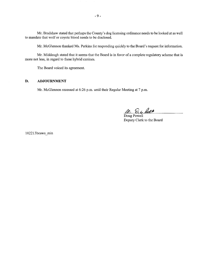Mr. Bradshaw stated that perhaps the County's dog licensing ordinance needs to be looked at as well to mandate that wolf or coyote blood needs to be disclosed.

Mr. McGlennon thanked Ms. Perkins for responding quickly to the Board's request for information.

Mr. Middaugh stated that it seems that the Board is in favor of a complete regulatory scheme that is more not less, in regard to these hybrid canines.

The Board voiced its agreement.

#### **D. ADJOURNMENT**

Mr. McGlennon recessed at 6:26 p.m. until their Regular Meeting at 7 p.m.

M. D. c. Pues

Deputy Clerk to the Board

102213bosws min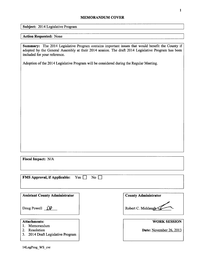#### MEMORANDUM COVER

Subject: 2014 Legislative Program

#### Action Requested: None

Summary: The 2014 Legislative Program contains important issues that would benefit the County if adopted by the General Assembly at their 2014 session. The draft 2014 Legislative Program has been included for your reference.

Adoption of the 2014 Legislative Program will be considered during the Regular Meeting.

Fiscal Impact: N/A

**FMS Approval, if Applicable:** Yes  $\Box$  No  $\Box$ 

Assistant County Administrator | County Administrator

- 1. Memorandum
- 
- 3. 2014 Draft Legislative Program

Doug Powell  $\mathcal{P}$  | Robert C. Middaugh

Attachments: WORK SESSION

2. Resolution **Date:** November 26, 2013

14LegProg\_WS\_cvr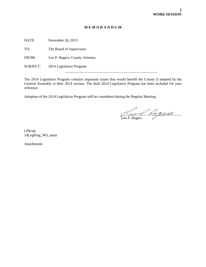#### **M E M O R A N D U M**

DATE: November 26, 2013

TO: The Board of Supervisors

FROM: Leo P. Rogers, County Attorney

 $\overline{a}$ 

SUBJECT: 2014 Legislative Program

The 2014 Legislative Program contains important issues that would benefit the County if adopted by the General Assembly at their 2014 session. The draft 2014 Legislative Program has been included for your reference.

Adoption of the 2014 Legislative Program will be considered during the Regular Meeting

 $\overline{\phantom{a}}$ Leo P. Rogers

LPR/nb 14LegProg\_WS\_mem

Attachments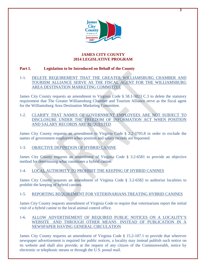

**3**

#### **JAMES CITY COUNTY 2014 LEGISLATIVE PROGRAM**

#### **Part I. Legislation to be Introduced on Behalf of the County**

#### 1-1. DELETE REQUIREMENT THAT THE GREATER WILLIAMSBURG CHAMBER AND TOURISM ALLIANCE SERVE AS THE FISCAL AGENT FOR THE WILLIAMSBURG AREA DESTINATION MARKETING COMMITTEE

James City County requests an amendment to Virginia Code § 58.1-3823 C.3 to delete the statutory requirement that The Greater Williamsburg Chamber and Tourism Alliance serve as the fiscal agent for the Williamsburg Area Destination Marketing Committee.

#### 1-2. CLARIFY THAT NAMES OF GOVERNMENT EMPLOYEES ARE NOT SUBJECT TO DISCLOSURE UNDER THE FREEDOM OF INFORMATION ACT WHEN POSITION AND SALARY RECORDS ARE REQUESTED

James City County requests an amendment to Virginia Code § 2.2-3705.8 in order to exclude the names of government employees when position and salary records are requested.

#### 1-3. OBJECTIVE DEFINITION OF HYBRID CANINE

James City County requests an amendment of Virginia Code § 3.2-6581 to provide an objective method for determining what constitutes a hybrid canine.

### 1-4. LOCAL AUTHORITY TO PROHIBIT THE KEEPING OF HYBRID CANINES

James City County requests an amendment of Virginia Code § 3.2-6582 to authorize localities to prohibit the keeping of hybrid canines.

#### 1-5. REPORTING REQUIREMENT FOR VETERINARIANS TREATING HYBRID CANINES

James City County requests amendment of Virginia Code to require that veterinarians report the initial visit of a hybrid canine to the local animal control office.

#### 1-6. ALLOW ADVERTISEMENT OF REQUIRED PUBLIC NOTICES ON A LOCALITY'S WEBSITE AND THROUGH OTHER MEANS INSTEAD OF PUBLICATION IN A NEWSPAPER HAVING GENERAL CIRCULATION

James City County requests an amendment of Virginia Code § 15.2-107.1 to provide that wherever newspaper advertisement is required for public notices, a locality may instead publish such notice on its website and shall also provide, at the request of any citizen of the Commonwealth, notice by electronic or telephonic means or through the U.S. postal mail.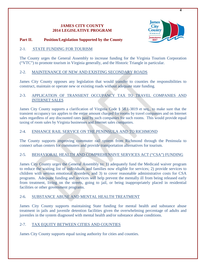#### **JAMES CITY COUNTY 2014 LEGISLATIVE PROGRAM**



#### **Part II. Position/Legislation Supported by the County**

#### 2-1. STATE FUNDING FOR TOURISM

The County urges the General Assembly to increase funding for the Virginia Tourism Corporation ("VTC") to promote tourism in Virginia generally, and the Historic Triangle in particular.

#### 2-2. MAINTENANCE OF NEW AND EXISTING SECONDARY ROADS

James City County opposes any legislation that would transfer to counties the responsibilities to construct, maintain or operate new or existing roads without adequate state funding.

#### 2-3. APPLICATION OF TRANSIENT OCCUPANCY TAX TO TRAVEL COMPANIES AND INTERNET SALES

James City County supports a clarification of Virginia Code § 58.1-3819 et seq., to make sure that the transient occupancy tax applies to the entire amount charged for rooms by travel companies and on Internet sales regardless of any discounted rates paid by such companies for such rooms. This would provide equal taxing of room sales by Virginia businesses and Internet sales companies.

#### 2-4. ENHANCE RAIL SERVICE ON THE PENINSULA AND TO RICHMOND

The County supports improving commuter rail system from Richmond through the Peninsula to connect urban centers for commuters and provide transportation alternatives for tourism.

#### 2-5. BEHAVIORAL HEALTH AND COMPREHENSIVE SERVICES ACT ("CSA") FUNDING

James City County urges the General Assembly to: 1) adequately fund the Medicaid waiver program to reduce the waiting list of individuals and families now eligible for services; 2) provide services to children with serious emotional disorders; and 3) to cover reasonable administrative costs for CSA programs. Adequate funding and services will help prevent the mentally ill from being released early from treatment, living on the streets, going to jail, or being inappropriately placed in residential facilities or other government programs.

#### 2-6. SUBSTANCE ABUSE AND MENTAL HEALTH TREATMENT

James City County supports maintaining State funding for mental health and substance abuse treatment in jails and juvenile detention facilities given the overwhelming percentage of adults and juveniles in the system diagnosed with mental health and/or substance abuse conditions.

#### 2-7. TAX EQUITY BETWEEN CITIES AND COUNTIES

James City County supports equal taxing authority for cities and counties.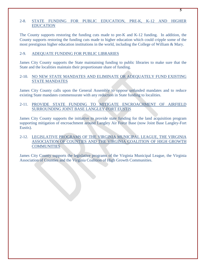#### 2-8. STATE FUNDING FOR PUBLIC EDUCATION, PRE-K, K-12 AND HIGHER EDUCATION

The County supports restoring the funding cuts made to pre-K and K-12 funding. In addition, the County supports restoring the funding cuts made to higher education which could cripple some of the most prestigious higher education institutions in the world, including the College of William & Mary.

#### 2-9. ADEQUATE FUNDING FOR PUBLIC LIBRARIES

James City County supports the State maintaining funding to public libraries to make sure that the State and the localities maintain their proportionate share of funding.

#### 2-10. NO NEW STATE MANDATES AND ELIMINATE OR ADEQUATELY FUND EXISTING STATE MANDATES

James City County calls upon the General Assembly to oppose unfunded mandates and to reduce existing State mandates commensurate with any reduction in State funding to localities.

#### 2-11. PROVIDE STATE FUNDING TO MITIGATE ENCROACHMENT OF AIRFIELD SURROUNDING JOINT BASE LANGLEY-FORT EUSTIS

James City County supports the initiative to provide state funding for the land acquisition program supporting mitigation of encroachment around Langley Air Force Base (now Joint Base Langley-Fort Eustis).

#### 2-12. LEGISLATIVE PROGRAMS OF THE VIRGINIA MUNICIPAL LEAGUE, THE VIRGINIA ASSOCIATION OF COUNTIES AND THE VIRGINIA COALITION OF HIGH GROWTH **COMMUNITIES**

James City County supports the legislative programs of the Virginia Municipal League, the Virginia Association of Counties and the Virginia Coalition of High Growth Communities.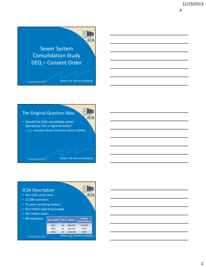

November 26, 2013 James City Service Authority

**JESA** 



#### JCSA Description

- 425 miles sewer lines
- 22,000 customers
- 76 sewer pumping stations
- \$6.0 million operating budget
- \$65 million assets

| 48 employees      | <b>Sewer Spills</b>                 | <b>Total</b> | <b>Gallons</b> | <b>Gallons</b><br>(non weather) |
|-------------------|-------------------------------------|--------------|----------------|---------------------------------|
|                   | 2011                                | 44           | 969,479        | 218,100                         |
|                   | 2012                                | 22           | 263.120        | 9,755                           |
|                   | 2013                                | 34           | 1,344,200      | 2,875                           |
| November 26, 2013 | <b>James City Service Authority</b> |              |                |                                 |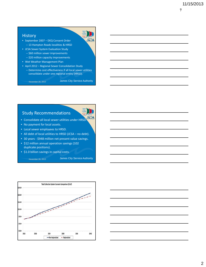**7**

#### **History**

- September 2007 DEQ Consent Order – 13 Hampton Roads localities & HRSD
- JCSA Sewer System Evaluation Study – \$60 million sewer improvements
	- \$20 million capacity improvements
- Wet Weather Management Plan
- April 2012 Regional Sewer Consolidation Study – Determine cost effectiveness if all local sewer utilities consolidate under one regional entity (HRSD).

November 26, 2013 James City Service Authority

JESA

JESA

### Study Recommendations

- Consolidate all local sewer utilities under HRSD.
- No payment for local assets.
- Local sewer employees to HRSD.
- All debt of local utilities to HRSD (JCSA no debt).
- 30 years \$948 million net present value savings.
- \$12 million annual operation savings (102 duplicate positions).
- \$1.0 billion savings in capital costs.

November 26, 2013 James City Service Authority



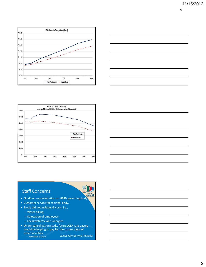**8**







## Staff Concerns

- No direct representation on HRSD governing body.
- Customer service for regional body.
- Study did not include all costs; i.e.,
	- Water billing.
	- Relocation of employees.
	- Local water/sewer synergies.
- Under consolidation study, future JCSA rate payers would be helping to pay for the current debt of other localities.<br>November 26, 2013

James City Service Authority

JESA